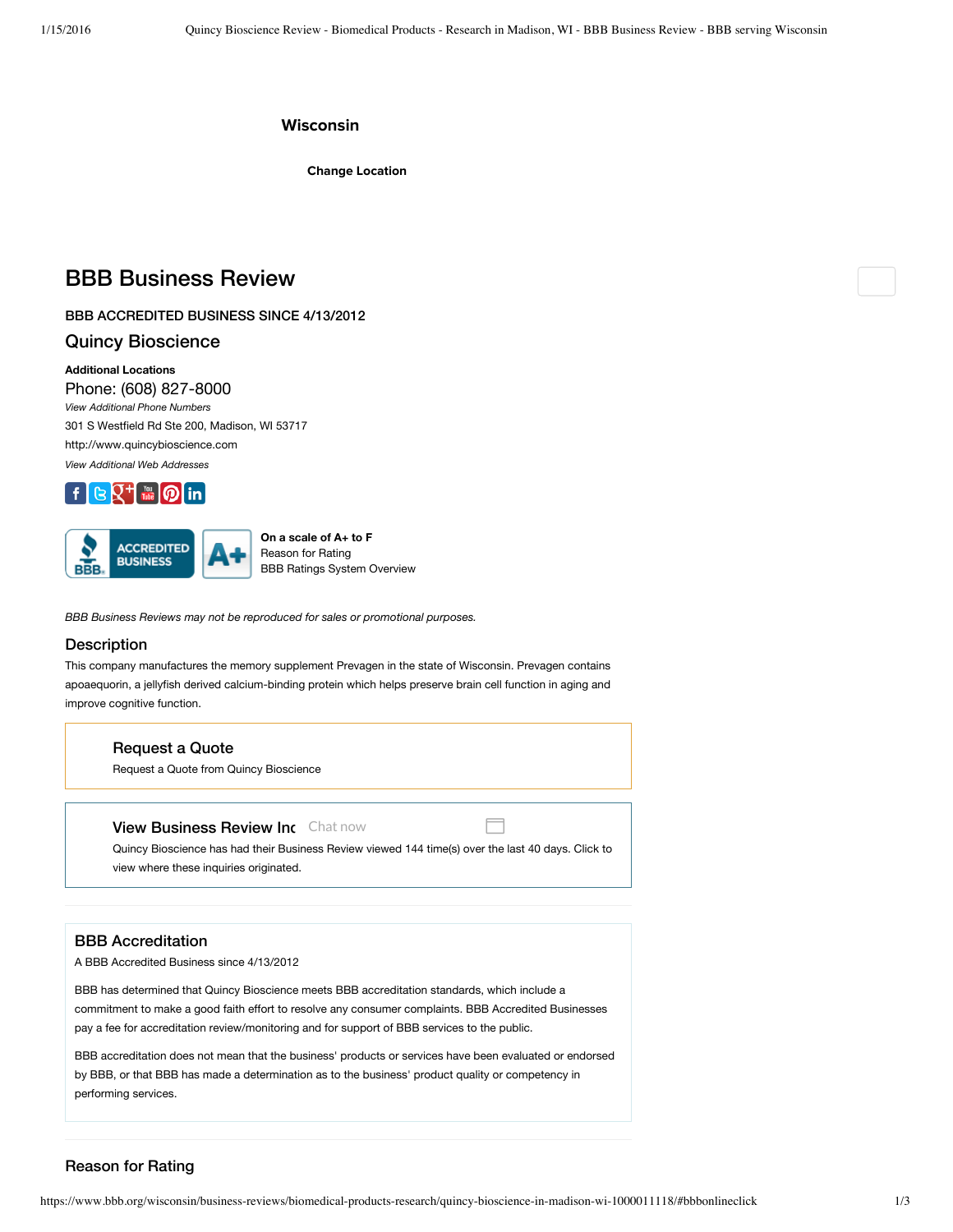# **Wisconsin**

**Change Location**

# BBB Business Review

BBB ACCREDITED BUSINESS SINCE 4/13/2012

# Quincy Bioscience

**Additional Locations** Phone: (608) 827-8000 *View Additional Phone Numbers* 301 S Westfield Rd Ste 200, Madison, WI 53717 http://www.quincybioscience.com *View Additional Web Addresses*





**On a scale of A+ to F** Reason for Rating BBB Ratings System Overview

*BBB Business Reviews may not be reproduced for sales or promotional purposes.*

#### **Description**

This company manufactures the memory supplement Prevagen in the state of Wisconsin. Prevagen contains apoaequorin, a jellyfish derived calcium-binding protein which helps preserve brain cell function in aging and improve cognitive function.

#### Request a Quote

Request a Quote from Quincy Bioscience

# **View Business Review Inc** Chat now

Quincy Bioscience has had their Business Review viewed 144 time(s) over the last 40 days. Click to view where these inquiries originated.

# BBB Accreditation

A BBB Accredited Business since 4/13/2012

BBB has determined that Quincy Bioscience meets BBB accreditation standards, which include a commitment to make a good faith effort to resolve any consumer complaints. BBB Accredited Businesses pay a fee for accreditation review/monitoring and for support of BBB services to the public.

BBB accreditation does not mean that the business' products or services have been evaluated or endorsed by BBB, or that BBB has made a determination as to the business' product quality or competency in performing services.

# Reason for Rating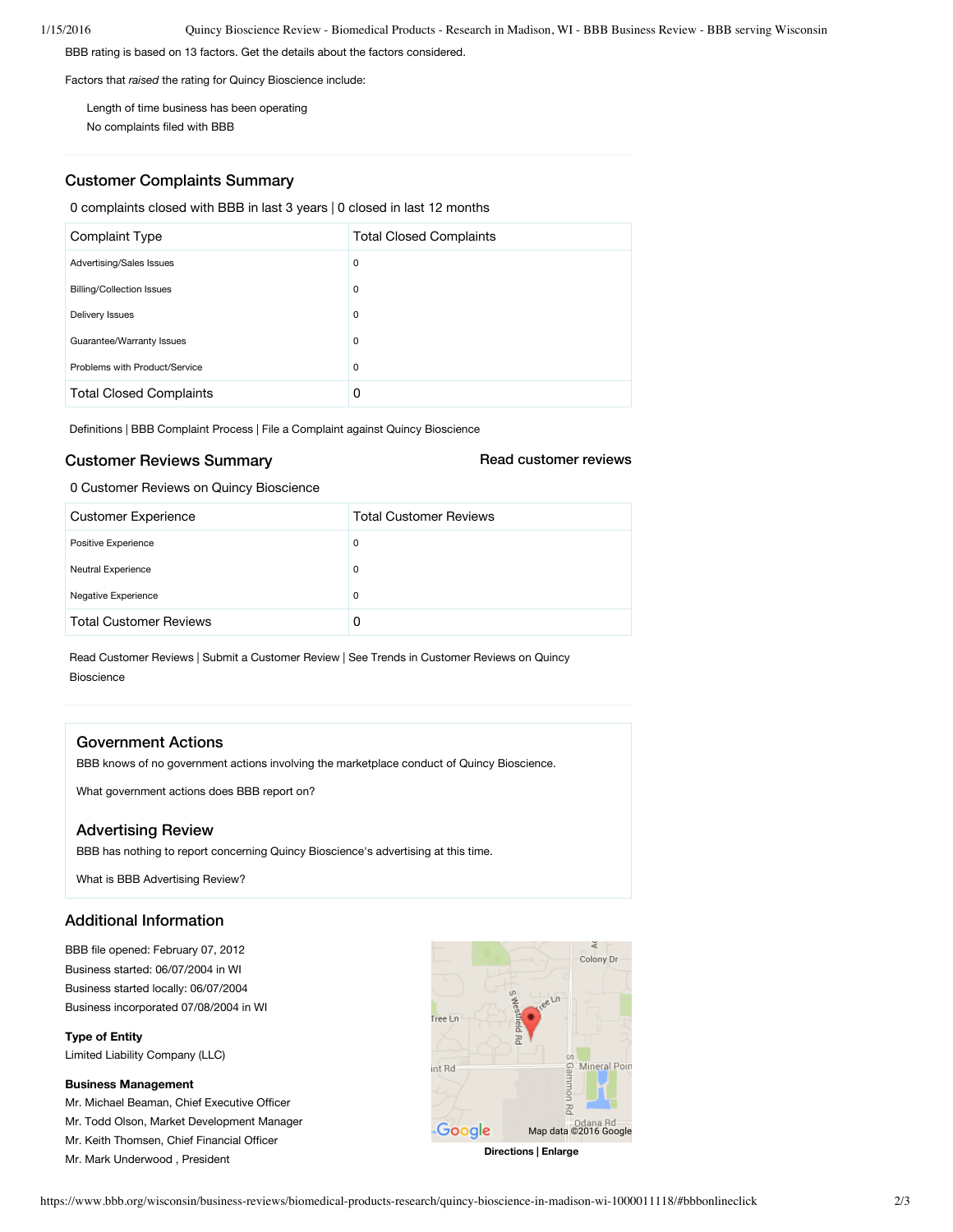BBB rating is based on 13 factors. Get the details about the factors considered.

Factors that *raised* the rating for Quincy Bioscience include:

Length of time business has been operating No complaints filed with BBB

# Customer Complaints Summary

0 complaints closed with BBB in last 3 years | 0 closed in last 12 months

| Complaint Type                   | <b>Total Closed Complaints</b> |
|----------------------------------|--------------------------------|
| Advertising/Sales Issues         | 0                              |
| <b>Billing/Collection Issues</b> | 0                              |
| Delivery Issues                  | 0                              |
| Guarantee/Warranty Issues        | 0                              |
| Problems with Product/Service    | 0                              |
| <b>Total Closed Complaints</b>   | 0                              |

Definitions | BBB Complaint Process | File a Complaint against Quincy Bioscience

# Customer Reviews Summary

Read customer reviews

0 Customer Reviews on Quincy Bioscience

| <b>Customer Experience</b>    | <b>Total Customer Reviews</b> |
|-------------------------------|-------------------------------|
| Positive Experience           | $\mathbf 0$                   |
| Neutral Experience            | $\mathbf 0$                   |
| Negative Experience           | 0                             |
| <b>Total Customer Reviews</b> | 0                             |

Read Customer Reviews | Submit a Customer Review | See Trends in Customer Reviews on Quincy Bioscience

# Government Actions

BBB knows of no government actions involving the marketplace conduct of Quincy Bioscience.

What government actions does BBB report on?

# Advertising Review

BBB has nothing to report concerning Quincy Bioscience's advertising at this time.

What is BBB Advertising Review?

# Additional Information

BBB file opened: February 07, 2012 Business started: 06/07/2004 in WI Business started locally: 06/07/2004 Business incorporated 07/08/2004 in WI

**Type of Entity**

Limited Liability Company (LLC)

#### **Business Management**

Mr. Michael Beaman, Chief Executive Officer

Mr. Todd Olson, Market Development Manager

Mr. Keith Thomsen, Chief Financial Officer

Mr. Mark Underwood , President